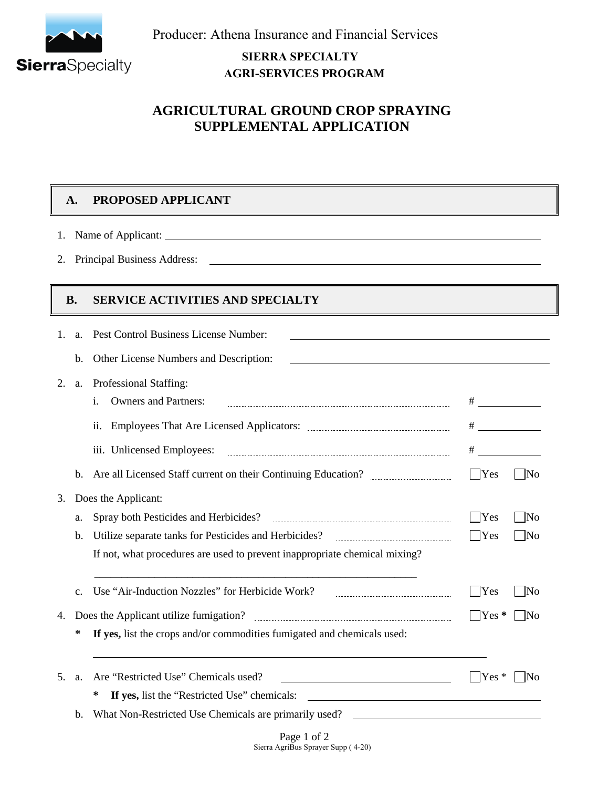

Producer: Athena Insurance and Financial Services

### **SIERRA SPECIALTY AGRISERVICES PROGRAM**

## **AGRICULTURAL GROUND CROP SPRAYING SUPPLEMENTAL APPLICATION**

# **A. PROPOSED APPLICANT**

1. Name of Applicant:

2. Principal Business Address:

### **B. SERVICE ACTIVITIES AND SPECIALTY**

| 1.             | a.             | Pest Control Business License Number:                                                                                                                                         |                             |                        |  |  |  |
|----------------|----------------|-------------------------------------------------------------------------------------------------------------------------------------------------------------------------------|-----------------------------|------------------------|--|--|--|
|                | b.             | Other License Numbers and Description:                                                                                                                                        |                             |                        |  |  |  |
| 2.             | a.             | Professional Staffing:                                                                                                                                                        |                             |                        |  |  |  |
|                |                | <b>Owners and Partners:</b><br>i.                                                                                                                                             |                             |                        |  |  |  |
|                |                | ii.                                                                                                                                                                           | <u> 1990 - Jan Barat, p</u> |                        |  |  |  |
|                |                | iii. Unlicensed Employees:                                                                                                                                                    |                             |                        |  |  |  |
|                | $\mathbf{b}$ . |                                                                                                                                                                               | Yes                         | $\overline{\text{No}}$ |  |  |  |
| 3.             |                | Does the Applicant:                                                                                                                                                           |                             |                        |  |  |  |
|                | a.             |                                                                                                                                                                               | <b>Yes</b>                  | - INo                  |  |  |  |
|                | b.             | Utilize separate tanks for Pesticides and Herbicides?                                                                                                                         | $\Box$ Yes                  | $\overline{\text{No}}$ |  |  |  |
|                |                | If not, what procedures are used to prevent inappropriate chemical mixing?                                                                                                    |                             |                        |  |  |  |
|                | $\mathbf{c}$ . | Use "Air-Induction Nozzles" for Herbicide Work?                                                                                                                               | Yes                         | - INo                  |  |  |  |
| 4.             |                |                                                                                                                                                                               |                             | N <sub>0</sub>         |  |  |  |
|                | ∗              | If yes, list the crops and/or commodities fumigated and chemicals used:                                                                                                       |                             |                        |  |  |  |
| 5 <sub>1</sub> | a.             | Are "Restricted Use" Chemicals used?                                                                                                                                          | $ $ Yes $*$                 | -INo                   |  |  |  |
|                |                | ∗<br>If yes, list the "Restricted Use" chemicals: ___________________________________                                                                                         |                             |                        |  |  |  |
|                | $\mathbf{b}$ . | What Non-Restricted Use Chemicals are primarily used?<br><u> 1989 - Johann Barbara, martin amerikan basal dan berasal dan berasal dalam basal dan berasal dan berasal dan</u> |                             |                        |  |  |  |